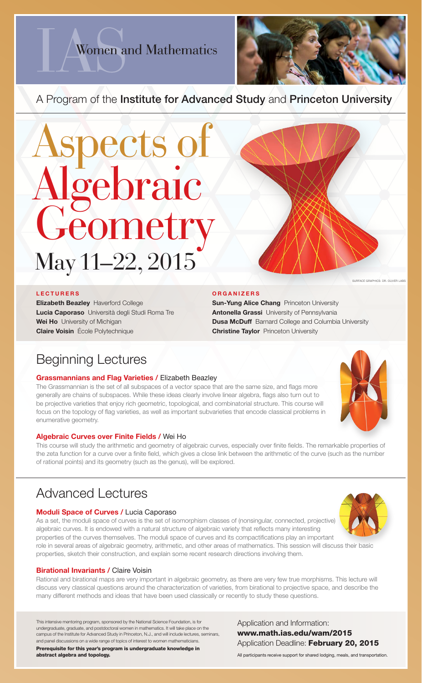All participants receive support for shared lodging, meals, and transportation.

# Women and Mathematics



### A Program of the Institute for Advanced Study and Princeton University

## Beginning Lectures

#### **Grassmannians and Flag Varieties / Elizabeth Beazley**

The Grassmannian is the set of all subspaces of a vector space that are the same size, and flags more generally are chains of subspaces. While these ideas clearly involve linear algebra, flags also turn out to be projective varieties that enjoy rich geometric, topological, and combinatorial structure. This course will focus on the topology of flag varieties, as well as important subvarieties that encode classical problems in enumerative geometry.

#### Algebraic Curves over Finite Fields / Wei Ho

This course will study the arithmetic and geometry of algebraic curves, especially over finite fields. The remarkable properties of the zeta function for a curve over a finite field, which gives a close link between the arithmetic of the curve (such as the number of rational points) and its geometry (such as the genus), will be explored.

**SURFACE GRAPHICS: DR. OLIVER LABS** 

### Advanced Lectures



#### **Moduli Space of Curves / Lucia Caporaso**

## May 11–22, 2015 Aspects of Algebraic Geometry

Elizabeth Beazley Haverford College Lucia Caporaso Università degli Studi Roma Tre Wei Ho University of Michigan **Claire Voisin** École Polytechnique

#### **ORGANIZERS**

**Sun-Yung Alice Chang** Princeton University Antonella Grassi University of Pennsylvania **Dusa McDuff** Barnard College and Columbia University **Christine Taylor** Princeton University

As a set, the moduli space of curves is the set of isomorphism classes of (nonsingular, connected, projective) algebraic curves. It is endowed with a natural structure of algebraic variety that reflects many interesting properties of the curves themselves. The moduli space of curves and its compactifications play an important role in several areas of algebraic geometry, arithmetic, and other areas of mathematics. This session will discuss their basic properties, sketch their construction, and explain some recent research directions involving them.

#### **Birational Invariants / Claire Voisin**

Rational and birational maps are very important in algebraic geometry, as there are very few true morphisms. This lecture will discuss very classical questions around the characterization of varieties, from birational to projective space, and describe the many different methods and ideas that have been used classically or recently to study these questions.

#### LECTURERS

This intensive mentoring program, sponsored by the National Science Foundation, is for undergraduate, graduate, and postdoctoral women in mathematics. It will take place on the campus of the Institute for Advanced Study in Princeton, N.J., and will include lectures, seminars, and panel discussions on a wide range of topics of interest to women mathematicians.

Prerequisite for this year's program is undergraduate knowledge in abstract algebra and topology.

Application and Information: www.math.ias.edu/wam/2015 Application Deadline: February 20, 2015